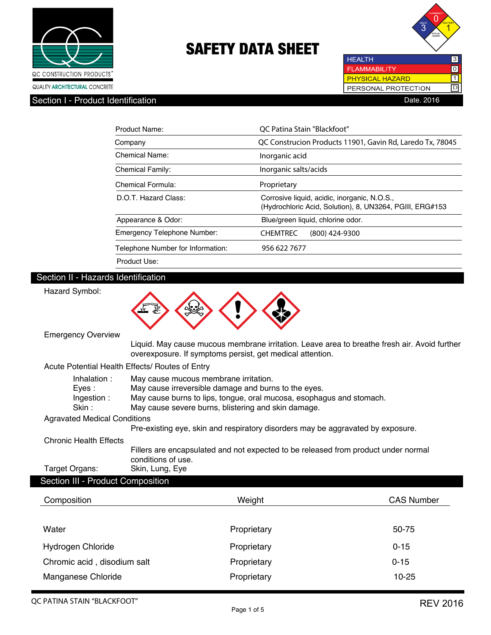



| <b>HEALTH</b>          | 3   |
|------------------------|-----|
| <b>FLAMMABILITY</b>    | l O |
| <b>PHYSICAL HAZARD</b> |     |
| PERSONAL PROTECTION    |     |
| )ate 2016              |     |

| Product Name:                     | OC Patina Stain "Blackfoot"                                                                              |  |
|-----------------------------------|----------------------------------------------------------------------------------------------------------|--|
| Company                           | QC Construcion Products 11901, Gavin Rd, Laredo Tx, 78045                                                |  |
| Chemical Name:                    | Inorganic acid                                                                                           |  |
| <b>Chemical Family:</b>           | Inorganic salts/acids                                                                                    |  |
| Chemical Formula:                 | Proprietary                                                                                              |  |
| D.O.T. Hazard Class:              | Corrosive liquid, acidic, inorganic, N.O.S.,<br>(Hydrochloric Acid, Solution), 8, UN3264, PGIII, ERG#153 |  |
| Appearance & Odor:                | Blue/green liquid, chlorine odor.                                                                        |  |
| Emergency Telephone Number:       | <b>CHEMTREC</b><br>(800) 424-9300                                                                        |  |
| Telephone Number for Information: | 956 622 7677                                                                                             |  |
| Product Use:                      |                                                                                                          |  |

## Section II - Hazards Identification

| Hazard Symbol:                                                                                                                                                                                                                                                              |                                                                                                                                                           |                   |  |
|-----------------------------------------------------------------------------------------------------------------------------------------------------------------------------------------------------------------------------------------------------------------------------|-----------------------------------------------------------------------------------------------------------------------------------------------------------|-------------------|--|
| <b>Emergency Overview</b>                                                                                                                                                                                                                                                   |                                                                                                                                                           |                   |  |
|                                                                                                                                                                                                                                                                             | Liquid. May cause mucous membrane irritation. Leave area to breathe fresh air. Avoid further<br>overexposure. If symptoms persist, get medical attention. |                   |  |
|                                                                                                                                                                                                                                                                             | Acute Potential Health Effects/ Routes of Entry                                                                                                           |                   |  |
| Inhalation:<br>May cause mucous membrane irritation.<br>May cause irreversible damage and burns to the eyes.<br>Eyes:<br>May cause burns to lips, tongue, oral mucosa, esophagus and stomach.<br>Ingestion:<br>Skin:<br>May cause severe burns, blistering and skin damage. |                                                                                                                                                           |                   |  |
| <b>Agravated Medical Conditions</b>                                                                                                                                                                                                                                         |                                                                                                                                                           |                   |  |
|                                                                                                                                                                                                                                                                             | Pre-existing eye, skin and respiratory disorders may be aggravated by exposure.                                                                           |                   |  |
| <b>Chronic Health Effects</b><br>Fillers are encapsulated and not expected to be released from product under normal<br>conditions of use.                                                                                                                                   |                                                                                                                                                           |                   |  |
| Target Organs:                                                                                                                                                                                                                                                              | Skin, Lung, Eye                                                                                                                                           |                   |  |
| Section III - Product Composition                                                                                                                                                                                                                                           |                                                                                                                                                           |                   |  |
| Composition                                                                                                                                                                                                                                                                 | Weight                                                                                                                                                    | <b>CAS Number</b> |  |
| Water                                                                                                                                                                                                                                                                       | Proprietary                                                                                                                                               | 50-75             |  |
| <b>Hydrogen Chloride</b>                                                                                                                                                                                                                                                    | Proprietary                                                                                                                                               | $0 - 15$          |  |
| Chromic acid, disodium salt                                                                                                                                                                                                                                                 | Proprietary                                                                                                                                               | $0 - 15$          |  |
| Manganese Chloride                                                                                                                                                                                                                                                          | Proprietary                                                                                                                                               | $10 - 25$         |  |
|                                                                                                                                                                                                                                                                             |                                                                                                                                                           |                   |  |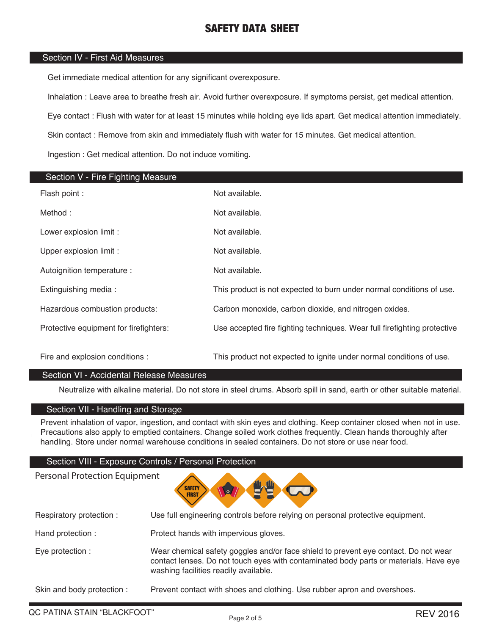## Section IV - First Aid Measures

Get immediate medical attention for any significant overexposure.

Inhalation : Leave area to breathe fresh air. Avoid further overexposure. If symptoms persist, get medical attention.

Eye contact : Flush with water for at least 15 minutes while holding eye lids apart. Get medical attention immediately.

Skin contact : Remove from skin and immediately flush with water for 15 minutes. Get medical attention.

Ingestion : Get medical attention. Do not induce vomiting.

| Section V - Fire Fighting Measure      |                                                                          |
|----------------------------------------|--------------------------------------------------------------------------|
| Flash point :                          | Not available.                                                           |
| Method:                                | Not available.                                                           |
| Lower explosion limit :                | Not available.                                                           |
| Upper explosion limit :                | Not available.                                                           |
| Autoignition temperature :             | Not available.                                                           |
| Extinguishing media:                   | This product is not expected to burn under normal conditions of use.     |
| Hazardous combustion products:         | Carbon monoxide, carbon dioxide, and nitrogen oxides.                    |
| Protective equipment for firefighters: | Use accepted fire fighting techniques. Wear full firefighting protective |
| Fire and explosion conditions :        | This product not expected to ignite under normal conditions of use.      |

### Section VI - Accidental Release Measures

Neutralize with alkaline material. Do not store in steel drums. Absorb spill in sand, earth or other suitable material.

## Section VII - Handling and Storage

Prevent inhalation of vapor, ingestion, and contact with skin eyes and clothing. Keep container closed when not in use. Precautions also apply to emptied containers. Change soiled work clothes frequently. Clean hands thoroughly after handling. Store under normal warehouse conditions in sealed containers. Do not store or use near food.

#### Section VIII - Exposure Controls / Personal Protection

Personal Protection Equipment



| Respiratory protection:   | Use full engineering controls before relying on personal protective equipment.                                                                                                                                        |
|---------------------------|-----------------------------------------------------------------------------------------------------------------------------------------------------------------------------------------------------------------------|
| Hand protection:          | Protect hands with impervious gloves.                                                                                                                                                                                 |
| Eye protection :          | Wear chemical safety goggles and/or face shield to prevent eye contact. Do not wear<br>contact lenses. Do not touch eyes with contaminated body parts or materials. Have eye<br>washing facilities readily available. |
| Skin and body protection: | Prevent contact with shoes and clothing. Use rubber apron and overshoes.                                                                                                                                              |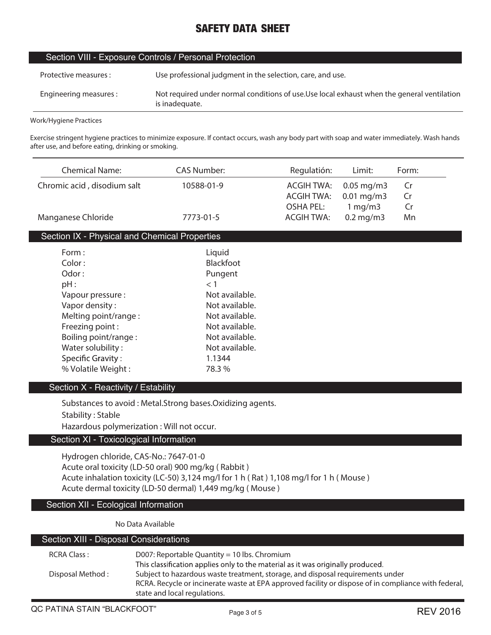| Section VIII - Exposure Controls / Personal Protection |                                                                                                               |  |
|--------------------------------------------------------|---------------------------------------------------------------------------------------------------------------|--|
| Protective measures :                                  | Use professional judgment in the selection, care, and use.                                                    |  |
| Engineering measures :                                 | Not required under normal conditions of use. Use local exhaust when the general ventilation<br>is inadequate. |  |

**Work/Hygiene Practices**

г

**Exercise stringent hygiene practices to minimize exposure. If contact occurs, wash any body part with soap and water immediately. Wash hands after use, and before eating, drinking or smoking.**

| <b>Chemical Name:</b>                         | <b>CAS Number:</b> | Regulatión:       | Limit:                  | Form: |
|-----------------------------------------------|--------------------|-------------------|-------------------------|-------|
| Chromic acid, disodium salt                   | 10588-01-9         | <b>ACGIH TWA:</b> | $0.05 \,\mathrm{mg/m3}$ | Cr    |
|                                               |                    | <b>ACGIH TWA:</b> | $0.01$ mg/m3            | Cr    |
|                                               |                    | <b>OSHA PEL:</b>  | 1 mg/m3                 | Cr    |
| Manganese Chloride                            | 7773-01-5          | <b>ACGIH TWA:</b> | $0.2$ mg/m $3$          | Mn    |
| Section IX - Physical and Chemical Properties |                    |                   |                         |       |
| Form:                                         | Liquid             |                   |                         |       |
| Color:                                        | <b>Blackfoot</b>   |                   |                         |       |
| Odor:                                         | Pungent            |                   |                         |       |
| $pH$ :                                        | $<$ 1              |                   |                         |       |
| Vapour pressure :                             | Not available.     |                   |                         |       |
| Vapor density:                                | Not available.     |                   |                         |       |
| Melting point/range:                          | Not available.     |                   |                         |       |
| Freezing point:                               | Not available.     |                   |                         |       |
| Boiling point/range:                          | Not available.     |                   |                         |       |
| Water solubility:                             | Not available.     |                   |                         |       |
| <b>Specific Gravity:</b>                      | 1.1344             |                   |                         |       |
| % Volatile Weight:                            | 78.3 %             |                   |                         |       |

#### Section X - Reactivity / Estability

**Substances to avoid : Metal.Strong bases.Oxidizing agents. Stability : Stable Hazardous polymerization : Will not occur.**

## Section XI - Toxicological Information

**Hydrogen chloride, CAS-No.: 7647-01-0 Acute oral toxicity (LD-50 oral) 900 mg/kg ( Rabbit ) Acute inhalation toxicity (LC-50) 3,124 mg/l for 1 h ( Rat ) 1,108 mg/l for 1 h ( Mouse ) Acute dermal toxicity (LD-50 dermal) 1,449 mg/kg ( Mouse )**

## Section XII - Ecological Information

**No Data Available**

| Section XIII - Disposal Considerations |                                                                                                      |  |
|----------------------------------------|------------------------------------------------------------------------------------------------------|--|
| RCRA Class:                            | D007: Reportable Quantity = 10 lbs. Chromium                                                         |  |
|                                        | This classification applies only to the material as it was originally produced.                      |  |
| Disposal Method:                       | Subject to hazardous waste treatment, storage, and disposal requirements under                       |  |
|                                        | RCRA. Recycle or incinerate waste at EPA approved facility or dispose of in compliance with federal, |  |
|                                        | state and local regulations.                                                                         |  |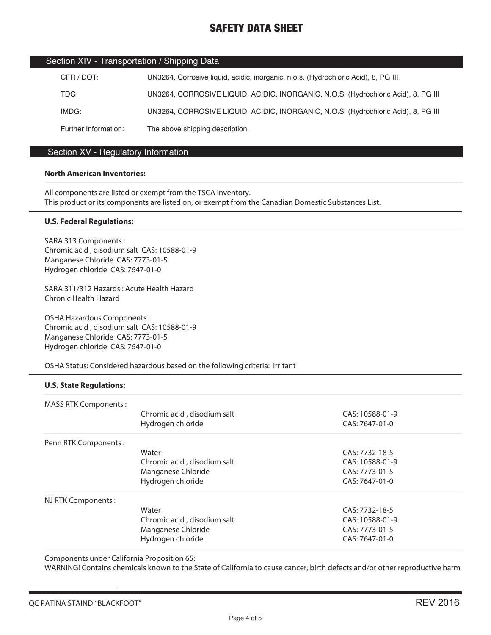|  | Section XIV - Transportation / Shipping Data |  |
|--|----------------------------------------------|--|
|--|----------------------------------------------|--|

| CFR / DOT:           | UN3264, Corrosive liquid, acidic, inorganic, n.o.s. (Hydrochloric Acid), 8, PG III |
|----------------------|------------------------------------------------------------------------------------|
| TDG:                 | UN3264, CORROSIVE LIQUID, ACIDIC, INORGANIC, N.O.S. (Hydrochloric Acid), 8, PG III |
| IMDG:                | UN3264, CORROSIVE LIQUID, ACIDIC, INORGANIC, N.O.S. (Hydrochloric Acid), 8, PG III |
| Further Information: | The above shipping description.                                                    |

## Section XV - Regulatory Information

#### **North American Inventories:**

All components are listed or exempt from the TSCA inventory. This product or its components are listed on, or exempt from the Canadian Domestic Substances List.

#### **U.S. Federal Regulations:**

SARA 313 Components : Chromic acid , disodium salt CAS: 10588-01-9 Manganese Chloride CAS: 7773-01-5 Hydrogen chloride CAS: 7647-01-0

SARA 311/312 Hazards : Acute Health Hazard Chronic Health Hazard

OSHA Hazardous Components : Chromic acid , disodium salt CAS: 10588-01-9 Manganese Chloride CAS: 7773-01-5 Hydrogen chloride CAS: 7647-01-0

OSHA Status: Considered hazardous based on the following criteria: Irritant

#### **U.S. State Regulations:**

| <b>MASS RTK Components:</b> |                             |                 |
|-----------------------------|-----------------------------|-----------------|
|                             | Chromic acid, disodium salt | CAS: 10588-01-9 |
|                             | Hydrogen chloride           | CAS: 7647-01-0  |
| Penn RTK Components:        |                             |                 |
|                             | Water                       | CAS: 7732-18-5  |
|                             | Chromic acid, disodium salt | CAS: 10588-01-9 |
|                             | Manganese Chloride          | CAS: 7773-01-5  |
|                             | Hydrogen chloride           | CAS: 7647-01-0  |
| NJ RTK Components:          |                             |                 |
|                             | Water                       | CAS: 7732-18-5  |
|                             | Chromic acid, disodium salt | CAS: 10588-01-9 |
|                             | Manganese Chloride          | CAS: 7773-01-5  |
|                             | Hydrogen chloride           | CAS: 7647-01-0  |

Components under California Proposition 65:

WARNING! Contains chemicals known to the State of California to cause cancer, birth defects and/or other reproductive harm